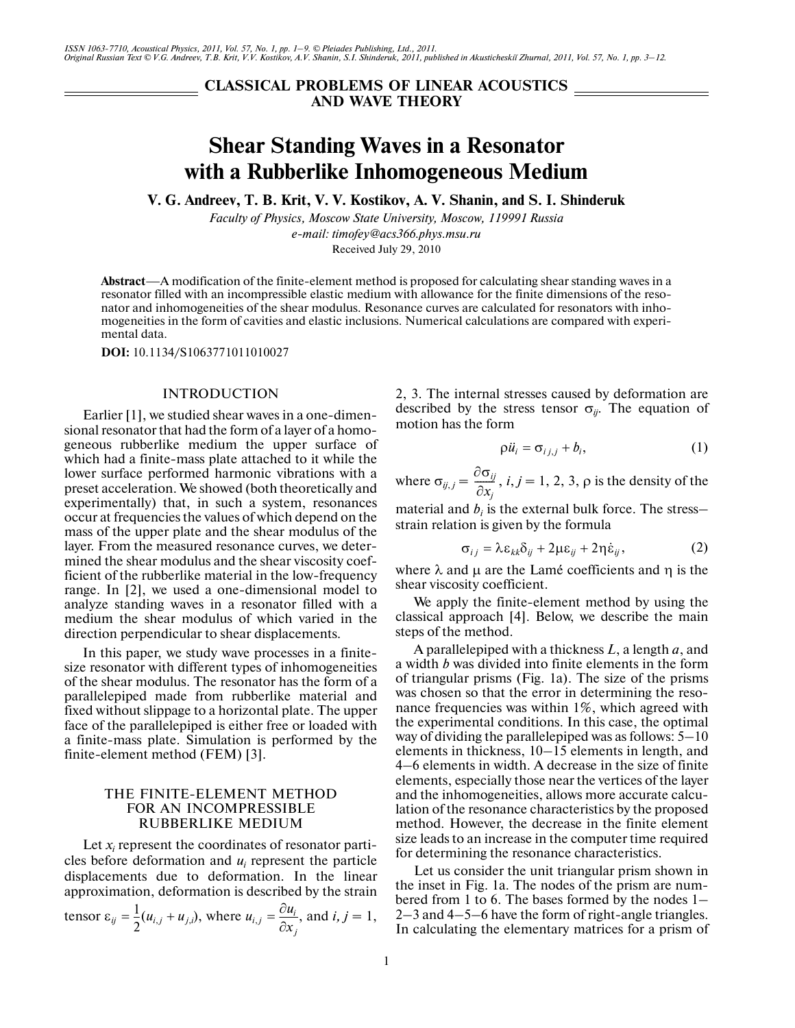**CLASSICAL PROBLEMS OF LINEAR ACOUSTICS AND WAVE THEORY**

# **Shear Standing Waves in a Resonator with a Rubberlike Inhomogeneous Medium**

**V. G. Andreev, T. B. Krit, V. V. Kostikov, A. V. Shanin, and S. I. Shinderuk**

*Faculty of Physics, Moscow State University, Moscow, 119991 Russia e-mail: timofey@acs366.phys.msu.ru* Received July 29, 2010

**Abstract**—A modification of the finite-element method is proposed for calculating shear standing waves in a resonator filled with an incompressible elastic medium with allowance for the finite dimensions of the reso nator and inhomogeneities of the shear modulus. Resonance curves are calculated for resonators with inho mogeneities in the form of cavities and elastic inclusions. Numerical calculations are compared with experi mental data.

**DOI:** 10.1134/S1063771011010027

#### INTRODUCTION

Earlier [1], we studied shear waves in a one-dimen sional resonator that had the form of a layer of a homo geneous rubberlike medium the upper surface of which had a finite-mass plate attached to it while the lower surface performed harmonic vibrations with a preset acceleration. We showed (both theoretically and experimentally) that, in such a system, resonances occur at frequencies the values of which depend on the mass of the upper plate and the shear modulus of the layer. From the measured resonance curves, we deter mined the shear modulus and the shear viscosity coef ficient of the rubberlike material in the low-frequency range. In [2], we used a one-dimensional model to analyze standing waves in a resonator filled with a medium the shear modulus of which varied in the direction perpendicular to shear displacements.

In this paper, we study wave processes in a finite size resonator with different types of inhomogeneities of the shear modulus. The resonator has the form of a parallelepiped made from rubberlike material and fixed without slippage to a horizontal plate. The upper face of the parallelepiped is either free or loaded with a finite-mass plate. Simulation is performed by the finite-element method (FEM) [3].

## THE FINITE-ELEMENT METHOD FOR AN INCOMPRESSIBLE RUBBERLIKE MEDIUM

Let  $x_i$  represent the coordinates of resonator particles before deformation and  $u_i$  represent the particle displacements due to deformation. In the linear approximation, deformation is described by the strain

tensor 
$$
\varepsilon_{ij} = \frac{1}{2}(u_{i,j} + u_{j,i})
$$
, where  $u_{i,j} = \frac{\partial u_i}{\partial x_j}$ , and  $i, j = 1$ ,

2, 3. The internal stresses caused by deformation are described by the stress tensor  $\sigma_{ij}$ . The equation of motion has the form stresses cau<br>stress tensor<br>m<br> $\rho \ddot{u}_i = \sigma_{i j, j} +$ 

$$
\rho \ddot{u}_i = \sigma_{i,j,j} + b_i, \qquad (1)
$$

where  $\sigma_{ij,j} = \frac{\partial \sigma_{ij}}{\partial x_i}$ , *i*, *j* = 1, 2, 3,  $\rho$  is the density of the  $\frac{\partial u_{ij}}{\partial x_j}$  $=\frac{\partial \sigma_{ij}}{\partial x_j}$ , *i*, *j* = 1, 2, 3,  $\rho$  is the d  $b_i$  is the external bulk formula  $\sigma_{ij} = \lambda \varepsilon_{kk} \delta_{ij} + 2\mu \varepsilon_{ij} + 2\eta \dot{\varepsilon}$ 

material and  $b_i$  is the external bulk force. The stress– strain relation is given by the formula

$$
\sigma_{ij} = \lambda \varepsilon_{kk} \delta_{ij} + 2\mu \varepsilon_{ij} + 2\eta \dot{\varepsilon}_{ij}, \qquad (2)
$$

where  $\lambda$  and  $\mu$  are the Lamé coefficients and  $\eta$  is the shear viscosity coefficient.

We apply the finite-element method by using the classical approach [4]. Below, we describe the main steps of the method.

A parallelepiped with a thickness *L*, a length *a*, and a width *b* was divided into finite elements in the form of triangular prisms (Fig. 1a). The size of the prisms was chosen so that the error in determining the reso nance frequencies was within 1%, which agreed with the experimental conditions. In this case, the optimal way of dividing the parallelepiped was as follows: 5–10 elements in thickness, 10–15 elements in length, and 4–6 elements in width. A decrease in the size of finite elements, especially those near the vertices of the layer and the inhomogeneities, allows more accurate calcu lation of the resonance characteristics by the proposed method. However, the decrease in the finite element size leads to an increase in the computer time required for determining the resonance characteristics.

Let us consider the unit triangular prism shown in the inset in Fig. 1a. The nodes of the prism are num bered from 1 to 6. The bases formed by the nodes 1– 2–3 and 4–5–6 have the form of right-angle triangles. In calculating the elementary matrices for a prism of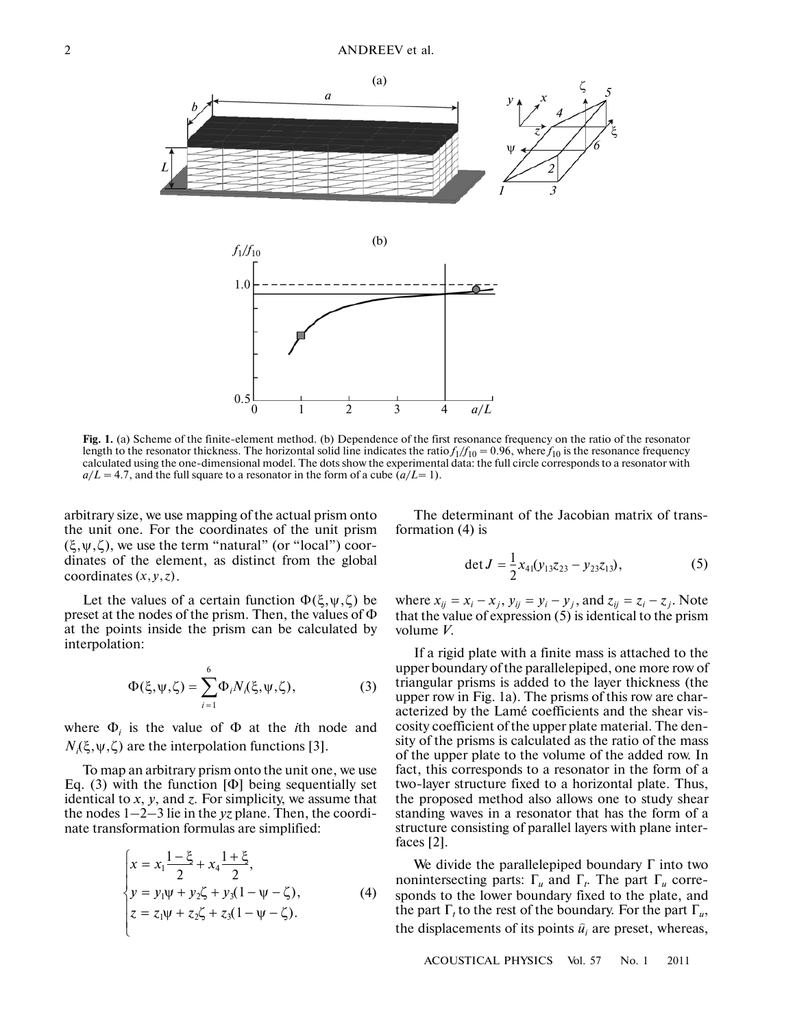



Fig. 1. (a) Scheme of the finite-element method. (b) Dependence of the first resonance frequency on the ratio of the resonator length to the resonator thickness. The horizontal solid line indicates the ratio  $f_1/f_{10} = 0.96$ , where  $f_{10}$  is the resonance frequency calculated using the one-dimensional model. The dots show the experimental data: the full circle corresponds to a resonator with  $a/L = 4.7$ , and the full square to a resonator in the form of a cube  $(a/L=1)$ .

arbitrary size, we use mapping of the actual prism onto the unit one. For the coordinates of the unit prism  $(\xi, \psi, \zeta)$ , we use the term "natural" (or "local") coordinates of the element, as distinct from the global coordinates  $(x, y, z)$ .

Let the values of a certain function  $\Phi(\xi, \psi, \zeta)$  be preset at the nodes of the prism. Then, the values of Φ at the points inside the prism can be calculated by interpolation:

$$
\Phi(\xi, \psi, \zeta) = \sum_{i=1}^{6} \Phi_i N_i(\xi, \psi, \zeta), \qquad (3)
$$

where  $\Phi_i$  is the value of  $\Phi$  at the *i*th node and  $N_i(\xi, \psi, \zeta)$  are the interpolation functions [3].

To map an arbitrary prism onto the unit one, we use Eq. (3) with the function [Φ] being sequentially set identical to *x*, *y*, and *z*. For simplicity, we assume that the nodes 1–2–3 lie in the *yz* plane. Then, the coordi nate transformation formulas are simplified:

$$
\begin{cases}\n x = x_1 \frac{1 - \xi}{2} + x_4 \frac{1 + \xi}{2}, \\
 y = y_1 \psi + y_2 \zeta + y_3 (1 - \psi - \zeta), \\
 z = z_1 \psi + z_2 \zeta + z_3 (1 - \psi - \zeta).\n\end{cases} (4)
$$

The determinant of the Jacobian matrix of trans formation (4) is

$$
\det J = \frac{1}{2} x_{41} (y_{13} z_{23} - y_{23} z_{13}), \tag{5}
$$

where  $x_{ij} = x_i - x_j$ ,  $y_{ij} = y_i - y_j$ , and  $z_{ij} = z_i - z_j$ . Note that the value of expression (5) is identical to the prism volume *V*.

If a rigid plate with a finite mass is attached to the upper boundary of the parallelepiped, one more row of triangular prisms is added to the layer thickness (the upper row in Fig. 1a). The prisms of this row are char acterized by the Lamé coefficients and the shear vis cosity coefficient of the upper plate material. The den sity of the prisms is calculated as the ratio of the mass of the upper plate to the volume of the added row. In fact, this corresponds to a resonator in the form of a two-layer structure fixed to a horizontal plate. Thus, the proposed method also allows one to study shear standing waves in a resonator that has the form of a structure consisting of parallel layers with plane inter faces [2].

We divide the parallelepiped boundary  $\Gamma$  into two nonintersecting parts:  $\Gamma_u$  and  $\Gamma_t$ . The part  $\Gamma_u$  corresponds to the lower boundary fixed to the plate, and the part  $\Gamma_t$  to the rest of the boundary. For the part  $\Gamma_u$ , the displacements of its points  $\hat{u}_i$  are preset, whereas,

ACOUSTICAL PHYSICS Vol. 57 No. 1 2011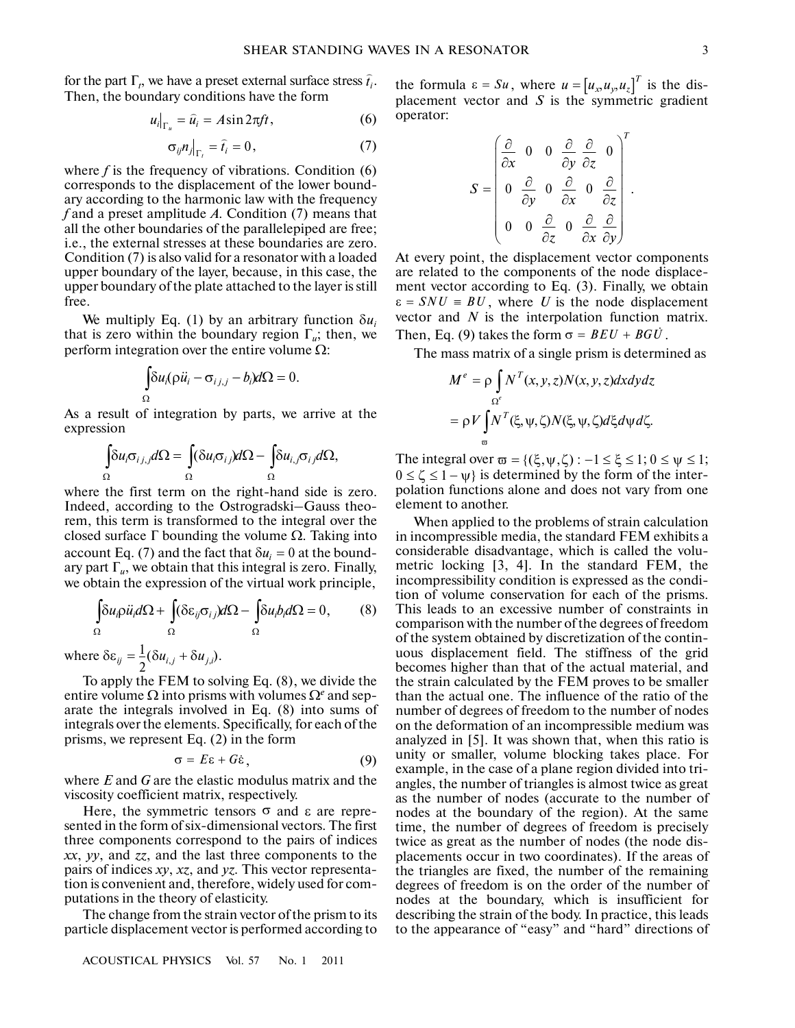for the part  $\Gamma_t$ , we have a preset external surface stress  $\hat{t}_i$ . Then, the boundary conditions have the form -

$$
u_i|_{\Gamma_u} = \hat{u}_i = A \sin 2\pi f t, \qquad (6)
$$

$$
\sigma_{ij} n_j\big|_{\Gamma_i} = \hat{t}_i = 0, \tag{7}
$$

where  $f$  is the frequency of vibrations. Condition  $(6)$ corresponds to the displacement of the lower bound ary according to the harmonic law with the frequency *f* and a preset amplitude *A*. Condition (7) means that all the other boundaries of the parallelepiped are free; i.e., the external stresses at these boundaries are zero. Condition (7) is also valid for a resonator with a loaded upper boundary of the layer, because, in this case, the upper boundary of the plate attached to the layer is still free.

We multiply Eq. (1) by an arbitrary function  $\delta u_i$ that is zero within the boundary region  $\Gamma_u$ ; then, we perform integration over the entire volume  $Ω$ : by Eq. (1) by an arbitra<br>ithin the boundary registration over the entire volume<br> $\int \delta u_i(\rho \ddot{u}_i - \sigma_{i,j,j} - b_i) d\Omega =$ 

$$
\int_{\Omega} \delta u_i (\rho \ddot{u}_i - \sigma_{i,j,j} - b_i) d\Omega = 0.
$$

As a result of integration by parts, we arrive at the expression

$$
\int_{\Omega} \delta u_i \sigma_{i,j,j} d\Omega = \int_{\Omega} (\delta u_i \sigma_{i,j}) d\Omega - \int_{\Omega} \delta u_{i,j} \sigma_{i,j} d\Omega,
$$

where the first term on the right-hand side is zero. Indeed, according to the Ostrogradski–Gauss theo rem, this term is transformed to the integral over the closed surface  $\Gamma$  bounding the volume  $\Omega$ . Taking into account Eq. (7) and the fact that  $\delta u_i = 0$  at the boundary part  $\Gamma_u$ , we obtain that this integral is zero. Finally, we obtain the expression of the virtual work principle, d surface  $\Gamma$  bounding the volume  $\Omega$ . Then  $\text{Eq. (7)}$  and the fact that  $\delta u_i = 0$  at that  $\Gamma_u$ , we obtain that this integral is zeptain the expression of the virtual work  $\int \delta u_i \rho \ddot{u}_i d\Omega + \int (\delta \varepsilon_{ij} \sigma_{ij}) d\Omega - \int \delta u_i$ 

$$
\int_{\Omega} \delta u_i \rho \ddot{u}_i d\Omega + \int_{\Omega} (\delta \varepsilon_{ij} \sigma_{ij}) d\Omega - \int_{\Omega} \delta u_i b_i d\Omega = 0, \qquad (8)
$$

where  $\delta \varepsilon_{ij} = \frac{1}{2} (\delta u_{i,j} + \delta u_{j,i}).$ 

To apply the FEM to solving Eq. (8), we divide the entire volume  $\Omega$  into prisms with volumes  $\Omega^e$  and separate the integrals involved in Eq. (8) into sums of integrals over the elements. Specifically, for each of the prisms, we represent Eq. (2) in the form to prisms with<br>to prisms with<br>involved in<br>ements. Spe<br>ot Eq. (2) in<br> $σ = Eε + Gε$ 

$$
\sigma = E\varepsilon + G\dot{\varepsilon}, \qquad (9)
$$

where *E* and *G* are the elastic modulus matrix and the viscosity coefficient matrix, respectively.

Here, the symmetric tensors  $\sigma$  and ε are represented in the form of six-dimensional vectors. The first three components correspond to the pairs of indices *xx*, *yy*, and *zz*, and the last three components to the pairs of indices *xy*, *xz*, and *yz*. This vector representa tion is convenient and, therefore, widely used for com putations in the theory of elasticity.

The change from the strain vector of the prism to its particle displacement vector is performed according to

the formula  $\varepsilon = Su$ , where  $u = [u_x, u_y, u_z]'$  is the dis-<br>placement vector and *S* is the symmetric gradient operator:  $\varepsilon = S u$ , where  $u = [u_x, u_y, u_z]^T$ 

$$
S = \begin{pmatrix} \frac{\partial}{\partial x} & 0 & 0 & \frac{\partial}{\partial y} & \frac{\partial}{\partial z} & 0 \\ 0 & \frac{\partial}{\partial y} & 0 & \frac{\partial}{\partial x} & 0 & \frac{\partial}{\partial z} \\ 0 & 0 & \frac{\partial}{\partial z} & 0 & \frac{\partial}{\partial x} & \frac{\partial}{\partial y} \end{pmatrix}.
$$

At every point, the displacement vector components are related to the components of the node displace ment vector according to Eq. (3). Finally, we obtain  $\varepsilon = SNU = BU$ , where U is the node displacement vector and *N* is the interpolation function matrix. At every point, the displacement vector comp<br>are related to the components of the node dis<br>ment vector according to Eq. (3). Finally, we<br> $\varepsilon = SNU \equiv BU$ , where U is the node displacetor and N is the interpolation function in<br>

The mass matrix of a single prism is determined as

$$
M^{e} = \rho \int_{\Omega^{e}} N^{T}(x, y, z) N(x, y, z) dx dy dz
$$
  
=  $\rho V \int_{\varpi}^{0} N^{T}(\xi, \psi, \zeta) N(\xi, \psi, \zeta) d\xi d\psi d\zeta.$   
The integral over  $\varpi = \{(\xi, \psi, \zeta) : -1 \le \xi \le 1; 0 \le \psi \le 1; \xi \le 1\}$ 

 $0 \le \zeta \le 1 - \psi$  is determined by the form of the interpolation functions alone and does not vary from one element to another.

When applied to the problems of strain calculation in incompressible media, the standard FEM exhibits a considerable disadvantage, which is called the volu metric locking [3, 4]. In the standard FEM, the incompressibility condition is expressed as the condi tion of volume conservation for each of the prisms. This leads to an excessive number of constraints in comparison with the number of the degrees of freedom of the system obtained by discretization of the contin uous displacement field. The stiffness of the grid becomes higher than that of the actual material, and the strain calculated by the FEM proves to be smaller than the actual one. The influence of the ratio of the number of degrees of freedom to the number of nodes on the deformation of an incompressible medium was analyzed in [5]. It was shown that, when this ratio is unity or smaller, volume blocking takes place. For example, in the case of a plane region divided into tri angles, the number of triangles is almost twice as great as the number of nodes (accurate to the number of nodes at the boundary of the region). At the same time, the number of degrees of freedom is precisely twice as great as the number of nodes (the node dis placements occur in two coordinates). If the areas of the triangles are fixed, the number of the remaining degrees of freedom is on the order of the number of nodes at the boundary, which is insufficient for describing the strain of the body. In practice, this leads to the appearance of "easy" and "hard" directions of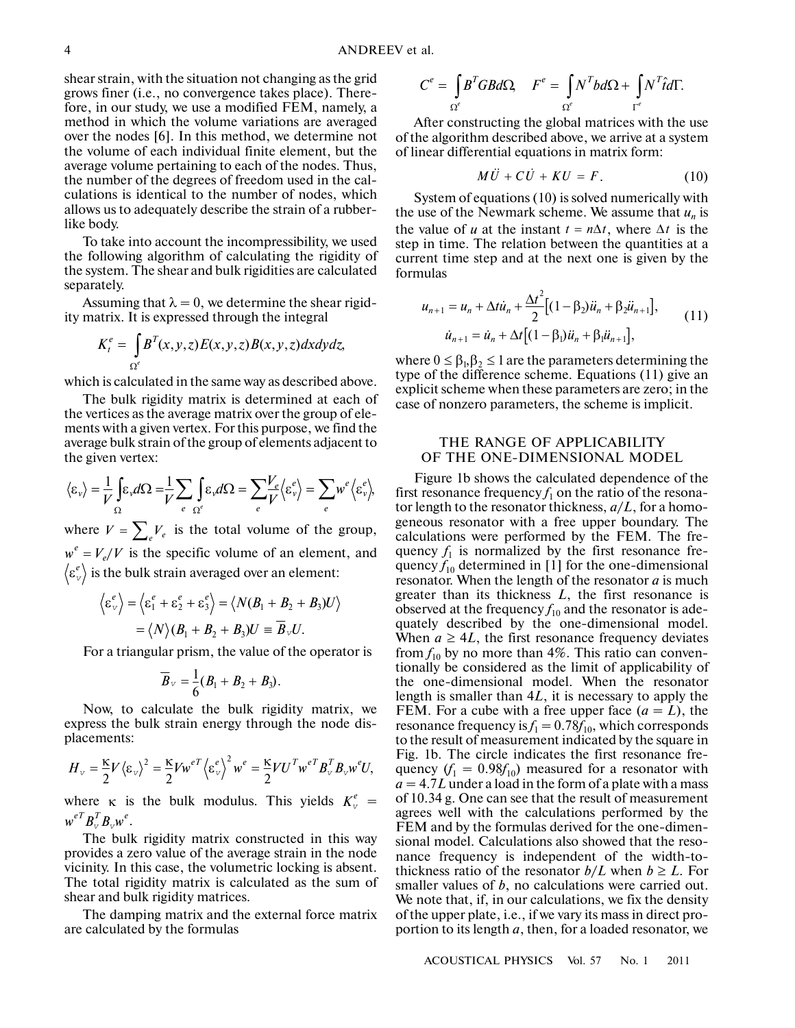shear strain, with the situation not changing as the grid grows finer (i.e., no convergence takes place). There fore, in our study, we use a modified FEM, namely, a method in which the volume variations are averaged over the nodes [6]. In this method, we determine not the volume of each individual finite element, but the average volume pertaining to each of the nodes. Thus, the number of the degrees of freedom used in the cal culations is identical to the number of nodes, which allows us to adequately describe the strain of a rubber like body.

To take into account the incompressibility, we used the following algorithm of calculating the rigidity of the system. The shear and bulk rigidities are calculated separately.

Assuming that  $\lambda = 0$ , we determine the shear rigidity matrix. It is expressed through the integral

$$
K_t^e = \int_{\Omega^e} B^T(x, y, z) E(x, y, z) B(x, y, z) dx dy dz,
$$

which is calculated in the same way as described above.

The bulk rigidity matrix is determined at each of the vertices as the average matrix over the group of ele ments with a given vertex. For this purpose, we find the average bulk strain of the group of elements adjacent to the given vertex:

$$
\langle \varepsilon_{\nu} \rangle = \frac{1}{V} \int_{\Omega} \varepsilon_{\nu} d\Omega = \frac{1}{V} \sum_{e} \int_{\Omega^{e}} \varepsilon_{\nu} d\Omega = \sum_{e} \frac{V_{e}}{V} \langle \varepsilon_{\nu}^{e} \rangle = \sum_{e} w^{e} \langle \varepsilon_{\nu}^{e} \rangle,
$$

where  $V = \sum_{e} V_e$  is the total volume of the group,  $w^e = V_e/V$  is the specific volume of an element, and  $\left\langle \varepsilon_{v}^e \right\rangle$  is the bulk strain averaged over an element:

$$
\langle \varepsilon_v^e \rangle = \langle \varepsilon_1^e + \varepsilon_2^e + \varepsilon_3^e \rangle = \langle N(B_1 + B_2 + B_3)U \rangle
$$
  
=  $\langle N \rangle (B_1 + B_2 + B_3)U \equiv \overline{B}_v U.$ 

For a triangular prism, the value of the operator is

$$
\overline{B}_v = \frac{1}{6}(B_1 + B_2 + B_3).
$$

Now, to calculate the bulk rigidity matrix, we express the bulk strain energy through the node dis placements:

$$
H_{v} = \frac{\kappa}{2} V \langle \varepsilon_{v} \rangle^{2} = \frac{\kappa}{2} V w^{eT} \langle \varepsilon_{v}^{e} \rangle^{2} w^{e} = \frac{\kappa}{2} V U^{T} w^{eT} B_{v}^{T} B_{v} w^{e} U,
$$

where  $\kappa$  is the bulk modulus. This yields  $K_v^e$  =  $w^{eT}B_{\scriptscriptstyle\rm V}^TB_{\scriptscriptstyle\rm V}w^e.$ 

The bulk rigidity matrix constructed in this way provides a zero value of the average strain in the node vicinity. In this case, the volumetric locking is absent. The total rigidity matrix is calculated as the sum of shear and bulk rigidity matrices.

The damping matrix and the external force matrix are calculated by the formulas

$$
C^{e} = \int_{\Omega^{e}} B^{T}GBd\Omega, \quad F^{e} = \int_{\Omega^{e}} N^{T}bd\Omega + \int_{\Gamma^{e}} N^{T}\hat{t}d\Gamma.
$$

After constructing the global matrices with the use of the algorithm described above, we arrive at a system of linear differential equations in matrix form: Figure 1.1 The global m<br>
m described above, we<br>
mial equations in m<br>  $M\ddot{U} + C\dot{U} + KU = F$ h<br>0<br>เม

$$
M\ddot{U} + C\dot{U} + KU = F. \tag{10}
$$

System of equations (10) is solved numerically with the use of the Newmark scheme. We assume that  $u_n$  is the value of *u* at the instant  $t = n\Delta t$ , where  $\Delta t$  is the step in time. The relation between the quantities at a current time step and at the next one is given by the formulas  $\frac{1}{1}$ <br> $\frac{1}{1}$ h<br>F<br>.

ent time step and at the next one is given by the  
\nvalues  
\n
$$
u_{n+1} = u_n + \Delta t \dot{u}_n + \frac{\Delta t^2}{2} \Big[ (1 - \beta_2) \ddot{u}_n + \beta_2 \ddot{u}_{n+1} \Big],
$$
\n
$$
\dot{u}_{n+1} = \dot{u}_n + \Delta t \Big[ (1 - \beta_1) \ddot{u}_n + \beta_1 \ddot{u}_{n+1} \Big],
$$
\n(11)

where  $0 \leq \beta_{b} \beta_{2} \leq 1$  are the parameters determining the type of the difference scheme. Equations (11) give an explicit scheme when these parameters are zero; in the case of nonzero parameters, the scheme is implicit.

# THE RANGE OF APPLICABILITY OF THE ONE-DIMENSIONAL MODEL

Figure 1b shows the calculated dependence of the first resonance frequency  $f_1$  on the ratio of the resonator length to the resonator thickness, *a*/*L*, for a homo geneous resonator with a free upper boundary. The calculations were performed by the FEM. The fre quency  $f_1$  is normalized by the first resonance frequency  $f_{10}$  determined in [1] for the one-dimensional resonator. When the length of the resonator *a* is much greater than its thickness *L*, the first resonance is observed at the frequency  $f_{10}$  and the resonator is adequately described by the one-dimensional model. When  $a \geq 4L$ , the first resonance frequency deviates from  $f_{10}$  by no more than 4%. This ratio can conventionally be considered as the limit of applicability of the one-dimensional model. When the resonator length is smaller than 4*L*, it is necessary to apply the FEM. For a cube with a free upper face  $(a = L)$ , the resonance frequency is  $f_1 = 0.78f_{10}$ , which corresponds to the result of measurement indicated by the square in Fig. 1b. The circle indicates the first resonance fre quency  $(f_1 = 0.98f_{10})$  measured for a resonator with  $a = 4.7L$  under a load in the form of a plate with a mass of 10.34 g. One can see that the result of measurement agrees well with the calculations performed by the FEM and by the formulas derived for the one-dimen sional model. Calculations also showed that the reso nance frequency is independent of the width-to thickness ratio of the resonator  $b/L$  when  $b \geq L$ . For smaller values of *b*, no calculations were carried out. We note that, if, in our calculations, we fix the density of the upper plate, i.e., if we vary its mass in direct pro portion to its length *a*, then, for a loaded resonator, we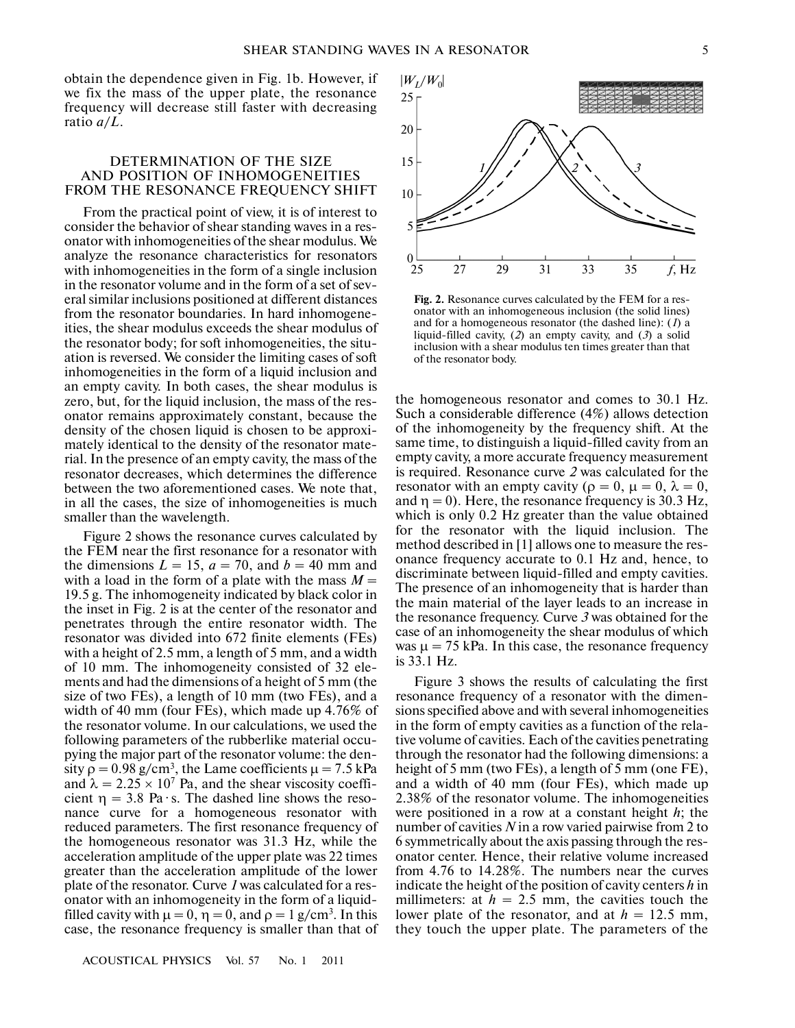obtain the dependence given in Fig. 1b. However, if we fix the mass of the upper plate, the resonance frequency will decrease still faster with decreasing ratio *a*/*L*.

#### DETERMINATION OF THE SIZE AND POSITION OF INHOMOGENEITIES FROM THE RESONANCE FREQUENCY SHIFT

From the practical point of view, it is of interest to consider the behavior of shear standing waves in a res onator with inhomogeneities of the shear modulus. We analyze the resonance characteristics for resonators with inhomogeneities in the form of a single inclusion in the resonator volume and in the form of a set of sev eral similar inclusions positioned at different distances from the resonator boundaries. In hard inhomogene ities, the shear modulus exceeds the shear modulus of the resonator body; for soft inhomogeneities, the situ ation is reversed. We consider the limiting cases of soft inhomogeneities in the form of a liquid inclusion and an empty cavity. In both cases, the shear modulus is zero, but, for the liquid inclusion, the mass of the res onator remains approximately constant, because the density of the chosen liquid is chosen to be approxi mately identical to the density of the resonator mate rial. In the presence of an empty cavity, the mass of the resonator decreases, which determines the difference between the two aforementioned cases. We note that, in all the cases, the size of inhomogeneities is much smaller than the wavelength.

Figure 2 shows the resonance curves calculated by the FEM near the first resonance for a resonator with the dimensions  $L = 15$ ,  $a = 70$ , and  $b = 40$  mm and with a load in the form of a plate with the mass  $M =$ 19.5 g. The inhomogeneity indicated by black color in the inset in Fig. 2 is at the center of the resonator and penetrates through the entire resonator width. The resonator was divided into 672 finite elements (FEs) with a height of 2.5 mm, a length of 5 mm, and a width of 10 mm. The inhomogeneity consisted of 32 ele ments and had the dimensions of a height of 5 mm (the size of two FEs), a length of 10 mm (two FEs), and a width of 40 mm (four FEs), which made up 4.76% of the resonator volume. In our calculations, we used the following parameters of the rubberlike material occu pying the major part of the resonator volume: the den sity  $\rho = 0.98$  g/cm<sup>3</sup>, the Lame coefficients  $\mu = 7.5$  kPa and  $\lambda = 2.25 \times 10^7$  Pa, and the shear viscosity coefficient  $\eta = 3.8$  Pa $\cdot$ s. The dashed line shows the resonance curve for a homogeneous resonator with reduced parameters. The first resonance frequency of the homogeneous resonator was 31.3 Hz, while the acceleration amplitude of the upper plate was 22 times greater than the acceleration amplitude of the lower plate of the resonator. Curve *1* was calculated for a res onator with an inhomogeneity in the form of a liquid filled cavity with  $\mu = 0$ ,  $\eta = 0$ , and  $\rho = 1$  g/cm<sup>3</sup>. In this case, the resonance frequency is smaller than that of



**Fig. 2.** Resonance curves calculated by the FEM for a res onator with an inhomogeneous inclusion (the solid lines) and for a homogeneous resonator (the dashed line): (*1*) a liquid-filled cavity, (*2*) an empty cavity, and (*3*) a solid inclusion with a shear modulus ten times greater than that of the resonator body.

the homogeneous resonator and comes to 30.1 Hz. Such a considerable difference (4%) allows detection of the inhomogeneity by the frequency shift. At the same time, to distinguish a liquid-filled cavity from an empty cavity, a more accurate frequency measurement is required. Resonance curve *2* was calculated for the resonator with an empty cavity ( $\rho = 0$ ,  $\mu = 0$ ,  $\lambda = 0$ , and  $\eta = 0$ ). Here, the resonance frequency is 30.3 Hz, which is only 0.2 Hz greater than the value obtained for the resonator with the liquid inclusion. The method described in [1] allows one to measure the res onance frequency accurate to 0.1 Hz and, hence, to discriminate between liquid-filled and empty cavities. The presence of an inhomogeneity that is harder than the main material of the layer leads to an increase in the resonance frequency. Curve *3* was obtained for the case of an inhomogeneity the shear modulus of which was  $\mu = 75$  kPa. In this case, the resonance frequency is 33.1 Hz.

Figure 3 shows the results of calculating the first resonance frequency of a resonator with the dimen sions specified above and with several inhomogeneities in the form of empty cavities as a function of the rela tive volume of cavities. Each of the cavities penetrating through the resonator had the following dimensions: a height of 5 mm (two FEs), a length of 5 mm (one FE), and a width of 40 mm (four FEs), which made up 2.38% of the resonator volume. The inhomogeneities were positioned in a row at a constant height *h*; the number of cavities *N* in a row varied pairwise from 2 to 6 symmetrically about the axis passing through the res onator center. Hence, their relative volume increased from 4.76 to 14.28%. The numbers near the curves indicate the height of the position of cavity centers *h* in millimeters: at  $h = 2.5$  mm, the cavities touch the lower plate of the resonator, and at  $h = 12.5$  mm, they touch the upper plate. The parameters of the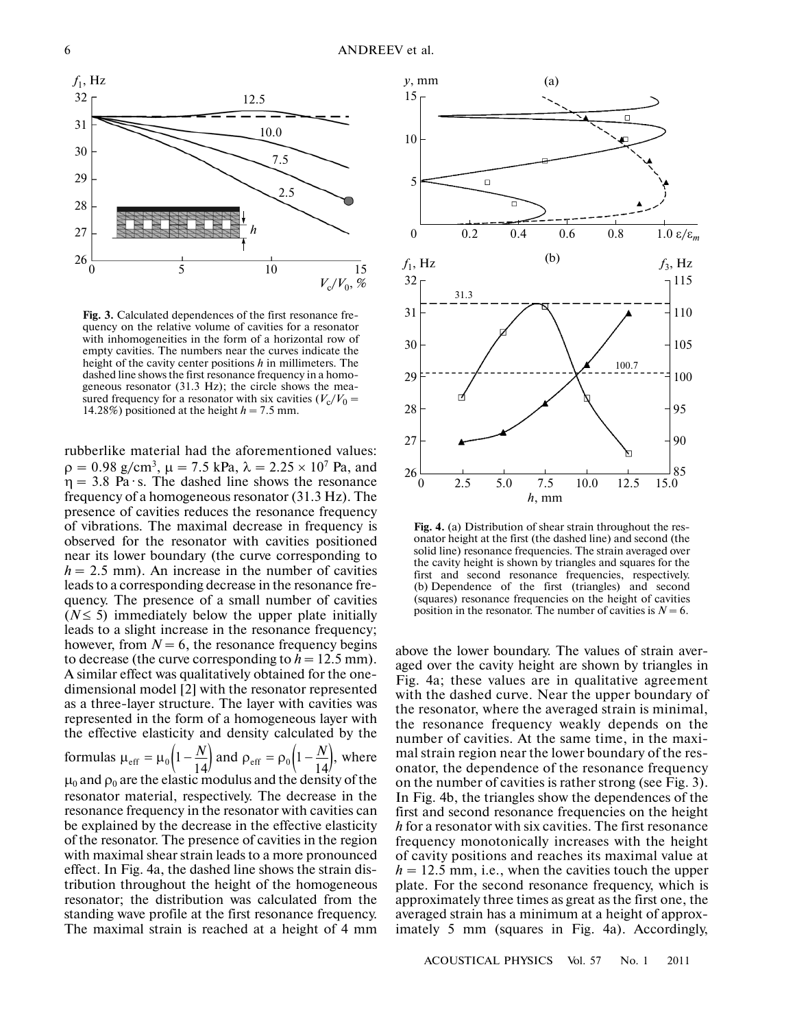

**Fig. 3.** Calculated dependences of the first resonance fre quency on the relative volume of cavities for a resonator with inhomogeneities in the form of a horizontal row of empty cavities. The numbers near the curves indicate the height of the cavity center positions *h* in millimeters. The dashed line shows the first resonance frequency in a homo geneous resonator (31.3 Hz); the circle shows the mea sured frequency for a resonator with six cavities  $(V_c/V_0 =$ 14.28%) positioned at the height  $h = 7.5$  mm.

rubberlike material had the aforementioned values:  $\rho = 0.98$  g/cm<sup>3</sup>,  $\mu = 7.5$  kPa,  $\lambda = 2.25 \times 10^7$  Pa, and  $\eta = 3.8$  Pa $\cdot$ s. The dashed line shows the resonance frequency of a homogeneous resonator (31.3 Hz). The presence of cavities reduces the resonance frequency of vibrations. The maximal decrease in frequency is observed for the resonator with cavities positioned near its lower boundary (the curve corresponding to  $h = 2.5$  mm). An increase in the number of cavities leads to a corresponding decrease in the resonance fre quency. The presence of a small number of cavities  $(N \leq 5)$  immediately below the upper plate initially leads to a slight increase in the resonance frequency; however, from  $N = 6$ , the resonance frequency begins to decrease (the curve corresponding to  $h = 12.5$  mm). A similar effect was qualitatively obtained for the one dimensional model [2] with the resonator represented as a three-layer structure. The layer with cavities was represented in the form of a homogeneous layer with the effective elasticity and density calculated by the formulas  $\mu_{\text{eff}} = \mu_0 \left( 1 - \frac{N}{14} \right)$  and  $\rho_{\text{eff}} = \rho_0 \left( 1 - \frac{N}{14} \right)$ , where  $\mu_0$  and  $\rho_0$  are the elastic modulus and the density of the resonator material, respectively. The decrease in the resonance frequency in the resonator with cavities can be explained by the decrease in the effective elasticity of the resonator. The presence of cavities in the region with maximal shear strain leads to a more pronounced effect. In Fig. 4a, the dashed line shows the strain dis tribution throughout the height of the homogeneous resonator; the distribution was calculated from the standing wave profile at the first resonance frequency. The maximal strain is reached at a height of 4 mm *N*



**Fig. 4.** (a) Distribution of shear strain throughout the res onator height at the first (the dashed line) and second (the solid line) resonance frequencies. The strain averaged over the cavity height is shown by triangles and squares for the first and second resonance frequencies, respectively. (b) Dependence of the first (triangles) and second (squares) resonance frequencies on the height of cavities position in the resonator. The number of cavities is  $N = 6$ .

above the lower boundary. The values of strain aver aged over the cavity height are shown by triangles in Fig. 4a; these values are in qualitative agreement with the dashed curve. Near the upper boundary of the resonator, where the averaged strain is minimal, the resonance frequency weakly depends on the number of cavities. At the same time, in the maxi mal strain region near the lower boundary of the res onator, the dependence of the resonance frequency on the number of cavities is rather strong (see Fig. 3). In Fig. 4b, the triangles show the dependences of the first and second resonance frequencies on the height *h* for a resonator with six cavities. The first resonance frequency monotonically increases with the height of cavity positions and reaches its maximal value at  $h = 12.5$  mm, i.e., when the cavities touch the upper plate. For the second resonance frequency, which is approximately three times as great as the first one, the averaged strain has a minimum at a height of approx imately 5 mm (squares in Fig. 4a). Accordingly,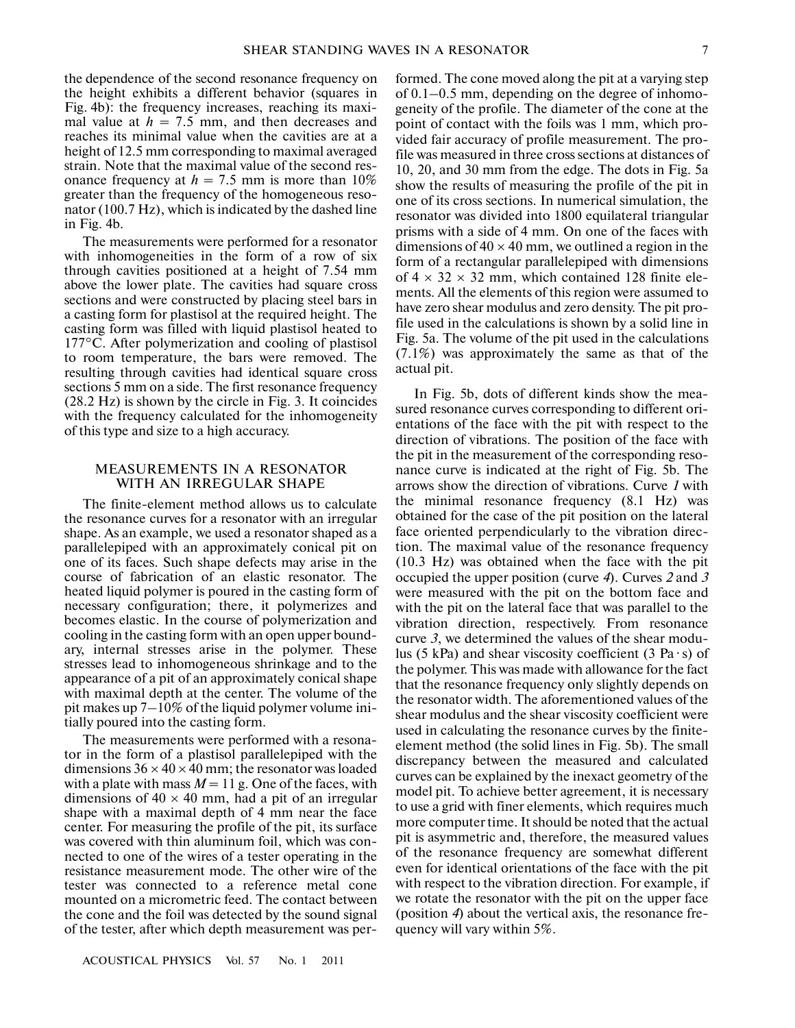the dependence of the second resonance frequency on the height exhibits a different behavior (squares in Fig. 4b): the frequency increases, reaching its maxi mal value at  $h = 7.5$  mm, and then decreases and reaches its minimal value when the cavities are at a height of 12.5 mm corresponding to maximal averaged strain. Note that the maximal value of the second res onance frequency at  $h = 7.5$  mm is more than 10% greater than the frequency of the homogeneous reso nator (100.7 Hz), which is indicated by the dashed line in Fig. 4b.

The measurements were performed for a resonator with inhomogeneities in the form of a row of six through cavities positioned at a height of 7.54 mm above the lower plate. The cavities had square cross sections and were constructed by placing steel bars in a casting form for plastisol at the required height. The casting form was filled with liquid plastisol heated to 177°C. After polymerization and cooling of plastisol to room temperature, the bars were removed. The resulting through cavities had identical square cross sections 5 mm on a side. The first resonance frequency (28.2 Hz) is shown by the circle in Fig. 3. It coincides with the frequency calculated for the inhomogeneity of this type and size to a high accuracy.

## MEASUREMENTS IN A RESONATOR WITH AN IRREGULAR SHAPE

The finite-element method allows us to calculate the resonance curves for a resonator with an irregular shape. As an example, we used a resonator shaped as a parallelepiped with an approximately conical pit on one of its faces. Such shape defects may arise in the course of fabrication of an elastic resonator. The heated liquid polymer is poured in the casting form of necessary configuration; there, it polymerizes and becomes elastic. In the course of polymerization and cooling in the casting form with an open upper bound ary, internal stresses arise in the polymer. These stresses lead to inhomogeneous shrinkage and to the appearance of a pit of an approximately conical shape with maximal depth at the center. The volume of the pit makes up 7–10% of the liquid polymer volume ini tially poured into the casting form.

The measurements were performed with a resona tor in the form of a plastisol parallelepiped with the dimensions  $36 \times 40 \times 40$  mm; the resonator was loaded with a plate with mass  $M = 11$  g. One of the faces, with dimensions of  $40 \times 40$  mm, had a pit of an irregular shape with a maximal depth of 4 mm near the face center. For measuring the profile of the pit, its surface was covered with thin aluminum foil, which was con nected to one of the wires of a tester operating in the resistance measurement mode. The other wire of the tester was connected to a reference metal cone mounted on a micrometric feed. The contact between the cone and the foil was detected by the sound signal of the tester, after which depth measurement was per-

formed. The cone moved along the pit at a varying step of 0.1–0.5 mm, depending on the degree of inhomo geneity of the profile. The diameter of the cone at the point of contact with the foils was 1 mm, which pro vided fair accuracy of profile measurement. The pro file was measured in three cross sections at distances of 10, 20, and 30 mm from the edge. The dots in Fig. 5a show the results of measuring the profile of the pit in one of its cross sections. In numerical simulation, the resonator was divided into 1800 equilateral triangular prisms with a side of 4 mm. On one of the faces with dimensions of  $40 \times 40$  mm, we outlined a region in the form of a rectangular parallelepiped with dimensions of  $4 \times 32 \times 32$  mm, which contained 128 finite elements. All the elements of this region were assumed to have zero shear modulus and zero density. The pit pro file used in the calculations is shown by a solid line in Fig. 5a. The volume of the pit used in the calculations (7.1%) was approximately the same as that of the actual pit.

In Fig. 5b, dots of different kinds show the mea sured resonance curves corresponding to different ori entations of the face with the pit with respect to the direction of vibrations. The position of the face with the pit in the measurement of the corresponding reso nance curve is indicated at the right of Fig. 5b. The arrows show the direction of vibrations. Curve *1* with the minimal resonance frequency (8.1 Hz) was obtained for the case of the pit position on the lateral face oriented perpendicularly to the vibration direc tion. The maximal value of the resonance frequency (10.3 Hz) was obtained when the face with the pit occupied the upper position (curve *4*). Curves *2* and *3* were measured with the pit on the bottom face and with the pit on the lateral face that was parallel to the vibration direction, respectively. From resonance curve *3*, we determined the values of the shear modu lus (5 kPa) and shear viscosity coefficient (3 Pa $\cdot$ s) of the polymer. This was made with allowance for the fact that the resonance frequency only slightly depends on the resonator width. The aforementioned values of the shear modulus and the shear viscosity coefficient were used in calculating the resonance curves by the finite element method (the solid lines in Fig. 5b). The small discrepancy between the measured and calculated curves can be explained by the inexact geometry of the model pit. To achieve better agreement, it is necessary to use a grid with finer elements, which requires much more computer time. It should be noted that the actual pit is asymmetric and, therefore, the measured values of the resonance frequency are somewhat different even for identical orientations of the face with the pit with respect to the vibration direction. For example, if we rotate the resonator with the pit on the upper face (position *4*) about the vertical axis, the resonance fre quency will vary within 5%.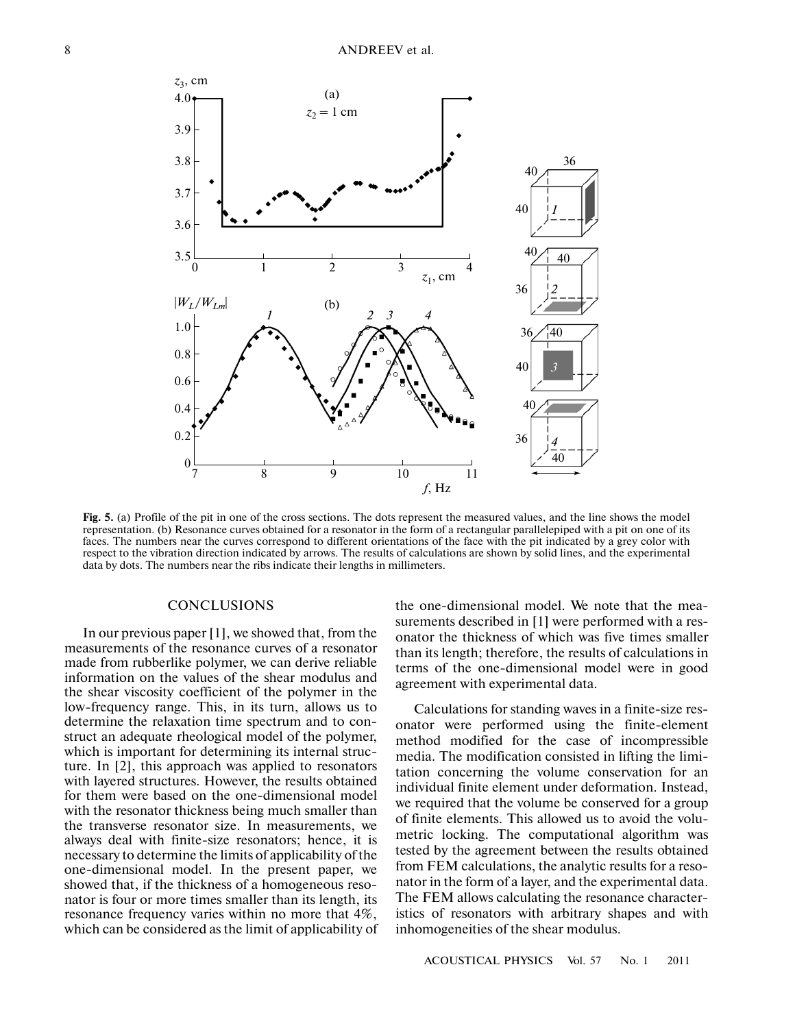

**Fig. 5.** (a) Profile of the pit in one of the cross sections. The dots represent the measured values, and the line shows the model representation. (b) Resonance curves obtained for a resonator in the form of a rectangular parallelepiped with a pit on one of its faces. The numbers near the curves correspond to different orientations of the face with the pit indicated by a grey color with respect to the vibration direction indicated by arrows. The results of calculations are shown by solid lines, and the experimental data by dots. The numbers near the ribs indicate their lengths in millimeters.

#### **CONCLUSIONS**

In our previous paper [1], we showed that, from the measurements of the resonance curves of a resonator made from rubberlike polymer, we can derive reliable information on the values of the shear modulus and the shear viscosity coefficient of the polymer in the low-frequency range. This, in its turn, allows us to determine the relaxation time spectrum and to con struct an adequate rheological model of the polymer, which is important for determining its internal struc ture. In [2], this approach was applied to resonators with layered structures. However, the results obtained for them were based on the one-dimensional model with the resonator thickness being much smaller than the transverse resonator size. In measurements, we always deal with finite-size resonators; hence, it is necessary to determine the limits of applicability of the one-dimensional model. In the present paper, we showed that, if the thickness of a homogeneous reso nator is four or more times smaller than its length, its resonance frequency varies within no more that 4%, which can be considered as the limit of applicability of

the one-dimensional model. We note that the mea surements described in [1] were performed with a res onator the thickness of which was five times smaller than its length; therefore, the results of calculations in terms of the one-dimensional model were in good agreement with experimental data.

Calculations for standing waves in a finite-size res onator were performed using the finite-element method modified for the case of incompressible media. The modification consisted in lifting the limi tation concerning the volume conservation for an individual finite element under deformation. Instead, we required that the volume be conserved for a group of finite elements. This allowed us to avoid the volu metric locking. The computational algorithm was tested by the agreement between the results obtained from FEM calculations, the analytic results for a reso nator in the form of a layer, and the experimental data. The FEM allows calculating the resonance character istics of resonators with arbitrary shapes and with inhomogeneities of the shear modulus.